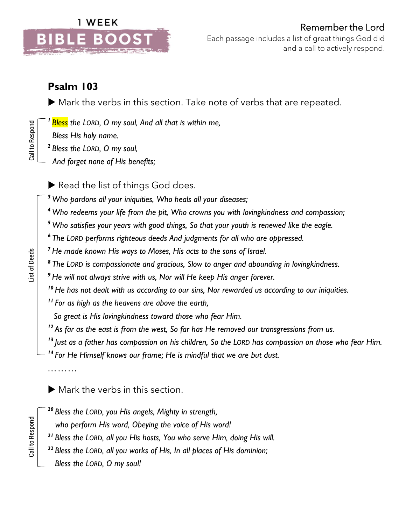

## **Psalm 103**

Mark the verbs in this section. Take note of verbs that are repeated.

*<sup>1</sup>Bless the LORD, O my soul, And all that is within me,*

 *Bless His holy name.*

- *2 Bless the LORD, O my soul,*
- *And forget none of His benefits;*

Read the list of things God does.

*<sup>3</sup> Who pardons all your iniquities, Who heals all your diseases;*

- *<sup>4</sup> Who redeems your life from the pit, Who crowns you with lovingkindness and compassion;*
- *<sup>5</sup> Who satisfies your years with good things, So that your youth is renewed like the eagle.*
- *6 The LORD performs righteous deeds And judgments for all who are oppressed.*

*<sup>7</sup> He made known His ways to Moses, His acts to the sons of Israel.*

*8 The LORD is compassionate and gracious, Slow to anger and abounding in lovingkindness.*

*<sup>9</sup> He will not always strive with us, Nor will He keep His anger forever.*

*<sup>10</sup>He has not dealt with us according to our sins, Nor rewarded us according to our iniquities.*

*<sup>11</sup> For as high as the heavens are above the earth,*

 *So great is His lovingkindness toward those who fear Him.*

*<sup>12</sup> As far as the east is from the west, So far has He removed our transgressions from us.*

*13 Just as a father has compassion on his children, So the LORD has compassion on those who fear Him.*

*<sup>14</sup> For He Himself knows our frame; He is mindful that we are but dust.*

Mark the verbs in this section.

- *<sup>20</sup> Bless the LORD, you His angels, Mighty in strength,* 
	- *who perform His word, Obeying the voice of His word!*
- *<sup>21</sup> Bless the LORD, all you His hosts, You who serve Him, doing His will.*
- *<sup>22</sup> Bless the LORD, all you works of His, In all places of His dominion;*
- *Bless the LORD, O my soul!*

*………*

Call to Respond<br>
List of Deeds<br>
List of Deeds List of Deeds

Call to Respond

Call to Respond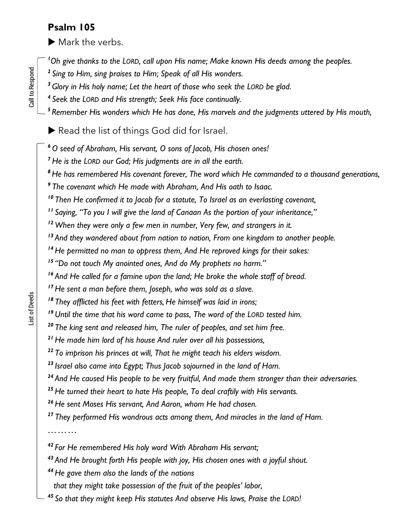## **Psalm 105**

 $\blacktriangleright$  Mark the verbs.

*Oh give thanks to the LORD, call upon His name; Make known His deeds among the peoples.*

- *Sing to Him, sing praises to Him; Speak of all His wonders.*
- *Glory in His holy name; Let the heart of those who seek the LORD be glad.*
- *Seek the LORD and His strength; Seek His face continually.*
- *Remember His wonders which He has done, His marvels and the judgments uttered by His mouth,*

Read the list of things God did for Israel.

*O seed of Abraham, His servant, O sons of Jacob, His chosen ones!*

*He is the LORD our God; His judgments are in all the earth.*

*He has remembered His covenant forever, The word which He commanded to a thousand generations,*

*The covenant which He made with Abraham, And His oath to Isaac.*

*Then He confirmed it to Jacob for a statute, To Israel as an everlasting covenant,*

*Saying, "To you I will give the land of Canaan As the portion of your inheritance,"*

*When they were only a few men in number, Very few, and strangers in it.*

*And they wandered about from nation to nation, From one kingdom to another people.*

*He permitted no man to oppress them, And He reproved kings for their sakes:*

*"Do not touch My anointed ones, And do My prophets no harm."*

*And He called for a famine upon the land; He broke the whole staff of bread.*

*He sent a man before them, Joseph, who was sold as a slave.*

*They afflicted his feet with fetters, He himself was laid in irons;*

*Until the time that his word came to pass, The word of the LORD tested him.*

*The king sent and released him, The ruler of peoples, and set him free.*

*He made him lord of his house And ruler over all his possessions,*

*To imprison his princes at will, That he might teach his elders wisdom.*

*Israel also came into Egypt; Thus Jacob sojourned in the land of Ham.*

*And He caused His people to be very fruitful, And made them stronger than their adversaries.*

*He turned their heart to hate His people, To deal craftily with His servants.*

*He sent Moses His servant, And Aaron, whom He had chosen.*

*They performed His wondrous acts among them, And miracles in the land of Ham.*

*………*

*For He remembered His holy word With Abraham His servant;*

*And He brought forth His people with joy, His chosen ones with a joyful shout.*

*He gave them also the lands of the nations* 

 *that they might take possession of the fruit of the peoples' labor,*

*So that they might keep His statutes And observe His laws, Praise the LORD!*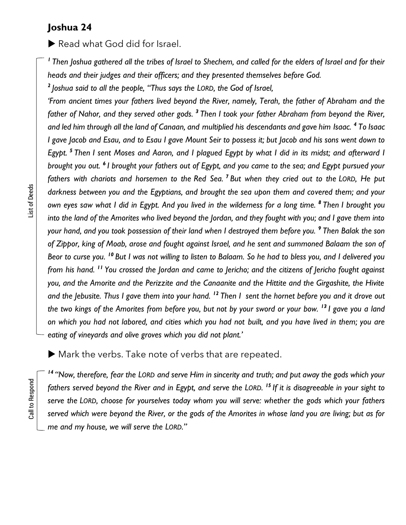## **Joshua 24**

Read what God did for Israel.

*<sup>1</sup>Then Joshua gathered all the tribes of Israel to Shechem, and called for the elders of Israel and for their heads and their judges and their officers; and they presented themselves before God.*

*2 Joshua said to all the people, "Thus says the LORD, the God of Israel,* 

*'From ancient times your fathers lived beyond the River, namely, Terah, the father of Abraham and the father of Nahor, and they served other gods. <sup>3</sup> Then I took your father Abraham from beyond the River, and led him through all the land of Canaan, and multiplied his descendants and gave him Isaac. <sup>4</sup> To Isaac I gave Jacob and Esau, and to Esau I gave Mount Seir to possess it; but Jacob and his sons went down to Egypt. <sup>5</sup> Then I sent Moses and Aaron, and I plagued Egypt by what I did in its midst; and afterward I brought you out. <sup>6</sup> I brought your fathers out of Egypt, and you came to the sea; and Egypt pursued your fathers with chariots and horsemen to the Red Sea. <sup>7</sup> But when they cried out to the LORD, He put darkness between you and the Egyptians, and brought the sea upon them and covered them; and your own eyes saw what I did in Egypt. And you lived in the wilderness for a long time. <sup>8</sup> Then I brought you into the land of the Amorites who lived beyond the Jordan, and they fought with you; and I gave them into your hand, and you took possession of their land when I destroyed them before you. <sup>9</sup> Then Balak the son of Zippor, king of Moab, arose and fought against Israel, and he sent and summoned Balaam the son of Beor to curse you. <sup>10</sup> But I was not willing to listen to Balaam. So he had to bless you, and I delivered you from his hand. <sup>11</sup> You crossed the Jordan and came to Jericho; and the citizens of Jericho fought against you, and the Amorite and the Perizzite and the Canaanite and the Hittite and the Girgashite, the Hivite and the Jebusite. Thus I gave them into your hand. <sup>12</sup> Then I sent the hornet before you and it drove out the two kings of the Amorites from before you, but not by your sword or your bow. <sup>13</sup> I gave you a land on which you had not labored, and cities which you had not built, and you have lived in them; you are eating of vineyards and olive groves which you did not plant.'*

Mark the verbs. Take note of verbs that are repeated.

*14 "Now, therefore, fear the LORD and serve Him in sincerity and truth; and put away the gods which your fathers served beyond the River and in Egypt, and serve the LORD. <sup>15</sup> If it is disagreeable in your sight to serve the LORD, choose for yourselves today whom you will serve: whether the gods which your fathers served which were beyond the River, or the gods of the Amorites in whose land you are living; but as for me and my house, we will serve the LORD."*

Call to Respond